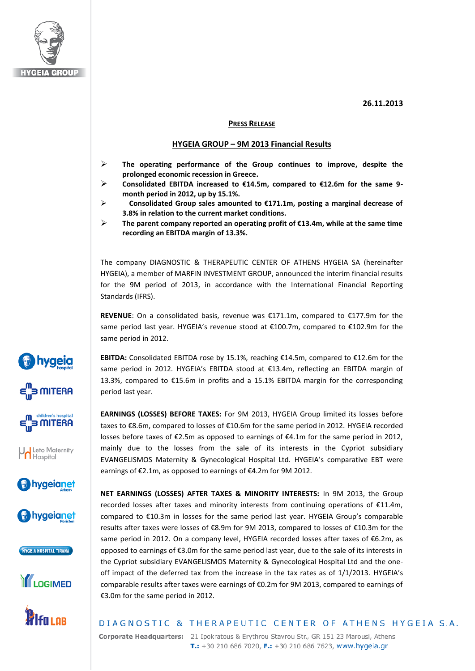

**by hygeig** 

**E**s MITERA

**MITERA** 

**Vol** Leto Maternity<br>Hospital

hygeianet

bygeianet

HYGEIA HOSPITAL TIRANA

**I**LOGIMED

/Ifa Lor

## **26.11.2013**

## **PRESS RELEASE**

## **HYGEIA GROUP – 9M 2013 Financial Results**

- **The operating performance of the Group continues to improve, despite the prolonged economic recession in Greece.**
- **Consolidated EBITDA increased to €14.5m, compared to €12.6m for the same 9 month period in 2012, up by 15.1%.**
- **Consolidated Group sales amounted to €171.1m, posting a marginal decrease of 3.8% in relation to the current market conditions.**
- **The parent company reported an operating profit of €13.4m, while at the same time recording an EBITDA margin of 13.3%.**

The company DIAGNOSTIC & THERAPEUTIC CENTER OF ATHENS HYGEIA SA (hereinafter HYGEIA), a member of MARFIN INVESTMENT GROUP, announced the interim financial results for the 9M period of 2013, in accordance with the International Financial Reporting Standards (IFRS).

**REVENUE**: On a consolidated basis, revenue was €171.1m, compared to €177.9m for the same period last year. HYGEIA's revenue stood at €100.7m, compared to €102.9m for the same period in 2012.

**EBITDA:** Consolidated EBITDA rose by 15.1%, reaching €14.5m, compared to €12.6m for the same period in 2012. HYGEIA's EBITDA stood at €13.4m, reflecting an EBITDA margin of 13.3%, compared to €15.6m in profits and a 15.1% EBITDA margin for the corresponding period last year.

**EARNINGS (LOSSES) BEFORE TAXES:** For 9M 2013, HYGEIA Group limited its losses before taxes to €8.6m, compared to losses of €10.6m for the same period in 2012. HYGEIA recorded losses before taxes of €2.5m as opposed to earnings of €4.1m for the same period in 2012, mainly due to the losses from the sale of its interests in the Cypriot subsidiary EVANGELISMOS Maternity & Gynecological Hospital Ltd. HYGEIA's comparative EBT were earnings of €2.1m, as opposed to earnings of €4.2m for 9M 2012.

**NET EARNINGS (LOSSES) AFTER TAXES & MINORITY INTERESTS:** In 9M 2013, the Group recorded losses after taxes and minority interests from continuing operations of €11.4m, compared to €10.3m in losses for the same period last year. HYGEIA Group's comparable results after taxes were losses of €8.9m for 9M 2013, compared to losses of €10.3m for the same period in 2012. On a company level, HYGEIA recorded losses after taxes of €6.2m, as opposed to earnings of €3.0m for the same period last year, due to the sale of its interests in the Cypriot subsidiary EVANGELISMOS Maternity & Gynecological Hospital Ltd and the oneoff impact of the deferred tax from the increase in the tax rates as of 1/1/2013. HYGEIA's comparable results after taxes were earnings of €0.2m for 9M 2013, compared to earnings of €3.0m for the same period in 2012.

## DIAGNOSTIC & THERAPEUTIC CENTER OF ATHENS HYGEIA S.A.

Corporate Headquarters: 21 Ipokratous & Erythrou Stavrou Str., GR 151 23 Marousi, Athens T.: +30 210 686 7020, F.: +30 210 686 7623, www.hygeia.gr